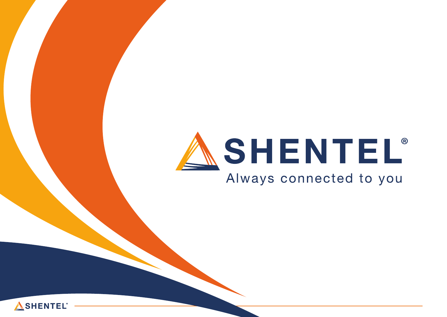

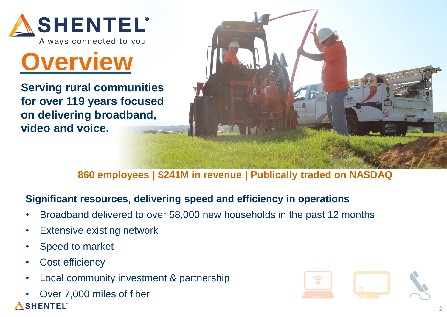



**Serving rural communities for over 119 years focused on delivering broadband, video and voice.**



#### **860 employees | \$241M in revenue | Publically traded on NASDAQ**

#### **Significant resources, delivering speed and efficiency in operations**

- Broadband delivered to over 58,000 new households in the past 12 months
- Extensive existing network
- Speed to market
- Cost efficiency
- Local community investment & partnership
- Over 7,000 miles of fiber

#### **SHENTEL**

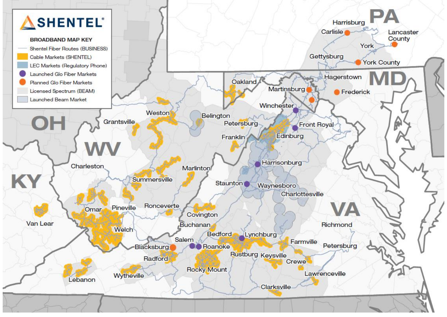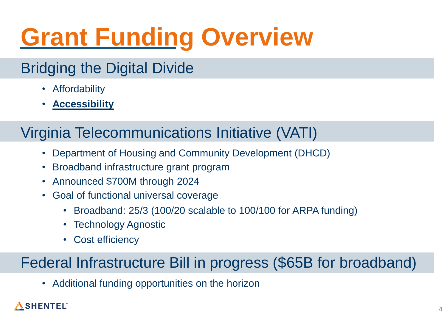# **Grant Funding Overview**

### Bridging the Digital Divide

- Affordability
- **Accessibility**

### Virginia Telecommunications Initiative (VATI)

- Department of Housing and Community Development (DHCD)
- Broadband infrastructure grant program
- Announced \$700M through 2024
- Goal of functional universal coverage
	- Broadband: 25/3 (100/20 scalable to 100/100 for ARPA funding)
	- Technology Agnostic
	- Cost efficiency

### Federal Infrastructure Bill in progress (\$65B for broadband)

• Additional funding opportunities on the horizon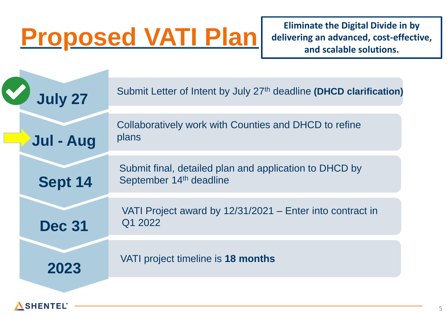# **Proposed VATI Plan**

**Eliminate the Digital Divide in by delivering an advanced, cost-effective, and scalable solutions.**

| <b>July 27</b> | Submit Letter of Intent by July 27th deadline (DHCD clarification)                            |
|----------------|-----------------------------------------------------------------------------------------------|
| Jul - Aug      | Collaboratively work with Counties and DHCD to refine<br>plans                                |
| Sept 14        | Submit final, detailed plan and application to DHCD by<br>September 14 <sup>th</sup> deadline |
| <b>Dec 31</b>  | VATI Project award by 12/31/2021 – Enter into contract in<br>Q1 2022                          |
| 2023           | VATI project timeline is 18 months                                                            |
|                |                                                                                               |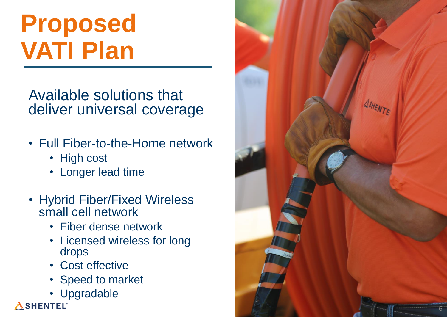# **Proposed VATI Plan**

Available solutions that deliver universal coverage

- Full Fiber-to-the-Home network
	- High cost
	- Longer lead time
- Hybrid Fiber/Fixed Wireless small cell network
	- Fiber dense network
	- Licensed wireless for long drops
	- Cost effective
	- Speed to market
	- Upgradable

**SHENTEL** 

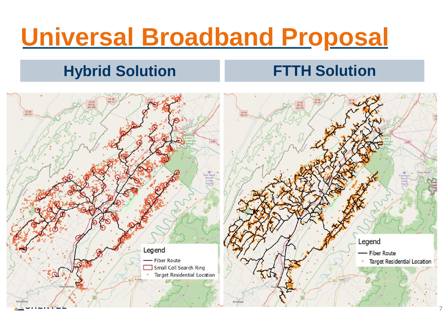## **Universal Broadband Proposal**

### **Hybrid Solution**

### **FTTH Solution**

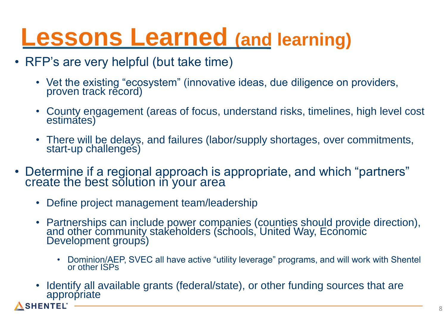## **Lessons Learned (and learning)**

- RFP's are very helpful (but take time)
	- Vet the existing "ecosystem" (innovative ideas, due diligence on providers, proven track record)
	- County engagement (areas of focus, understand risks, timelines, high level cost estimates)
	- There will be delays, and failures (labor/supply shortages, over commitments, start-up challenges)
- Determine if a regional approach is appropriate, and which "partners" create the best solution in your area
	- Define project management team/leadership
	- Partnerships can include power companies (counties should provide direction), and other community stakeholders (schools, United Way, Economic Development groups)
		- Dominion/AEP, SVEC all have active "utility leverage" programs, and will work with Shentel or other ISPs
- Identify all available grants (federal/state), or other funding sources that are appropriate *<u>ASHENTEL</u>*